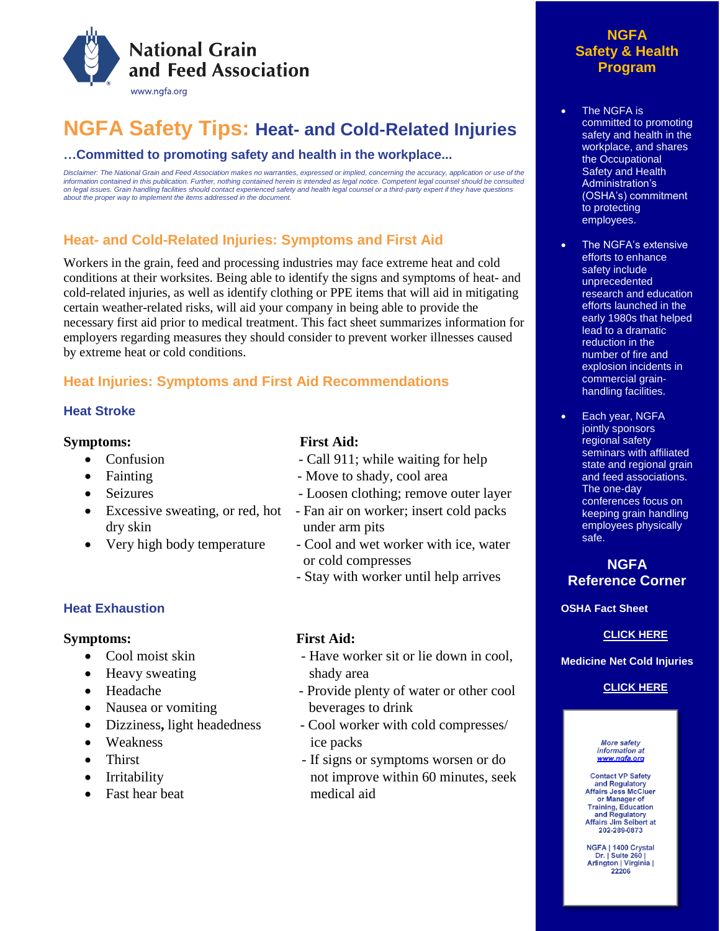

# **NGFA Safety Tips: Heat- and Cold-Related Injuries**

### **…Committed to promoting safety and health in the workplace...**

Disclaimer: The National Grain and Feed Association makes no warranties, expressed or implied, concerning the accuracy, application or use of the information contained in this publication. Further, nothing contained herein is intended as legal notice. Competent legal counsel should be consulted<br>on legal issues. Grain handling facilities should contact experienced sa *about the proper way to implement the items addressed in the document.* 

## **Heat- and Cold-Related Injuries: Symptoms and First Aid**

Workers in the grain, feed and processing industries may face extreme heat and cold conditions at their worksites. Being able to identify the signs and symptoms of heat- and cold-related injuries, as well as identify clothing or PPE items that will aid in mitigating certain weather-related risks, will aid your company in being able to provide the necessary first aid prior to medical treatment. This fact sheet summarizes information for employers regarding measures they should consider to prevent worker illnesses caused by extreme heat or cold conditions.

## **Heat Injuries: Symptoms and First Aid Recommendations**

#### **Heat Stroke**

#### **Symptoms: First Aid:**

- 
- 
- 
- dry skin under arm pits
- 

### **Heat Exhaustion**

#### **Symptoms: First Aid:**

- 
- Heavy sweating shady area
- 
- Nausea or vomiting beverages to drink
- 
- Weakness ice packs
- 
- 
- Fast hear beat medical aid

- Confusion Call 911; while waiting for help
- Fainting  **Move to shady**, cool area
	- Seizures Loosen clothing; remove outer layer
- Excessive sweating, or red, hot Fan air on worker; insert cold packs
- Very high body temperature Cool and wet worker with ice, water or cold compresses
	- Stay with worker until help arrives

- Cool moist skin Have worker sit or lie down in cool,
- Headache Provide plenty of water or other cool
- Dizziness, light headedness Cool worker with cold compresses/
- Thirst If signs or symptoms worsen or do • Irritability not improve within 60 minutes, seek

## **NGFA Safety & Health Program**

- The NGFA is committed to promoting safety and health in the workplace, and shares the Occupational Safety and Health Administration's (OSHA's) commitment to protecting employees.
- The NGFA's extensive efforts to enhance safety include unprecedented research and education efforts launched in the early 1980s that helped lead to a dramatic reduction in the number of fire and explosion incidents in commercial grainhandling facilities.
- Each year, NGFA jointly sponsors regional safety seminars with affiliated state and regional grain and feed associations. The one-day conferences focus on keeping grain handling employees physically safe.

### **NGFA Reference Corner**

#### **OSHA Fact Sheet**

#### **[CLICK HERE](https://www.osha.gov/SLTC/heatstress/heat_illnesses.html)**

#### **Medicine Net Cold Injuries**

#### **[CLICK HERE](https://www.medicinenet.com/frostbite/article.htm#frostbite_and_cold_weather-related_injuries_definitions_and_facts)**

**More safety** information at www.nafa.org

**Contact VP Safety** and Regulatory<br>Affairs Jess McCluer or Manager of Training, Education<br>and Regulatory Affairs Jim Seibert at 202-289-0873

NGFA | 1400 Crystal Dr. | Suite 260 | Arlington | Virginia | 22206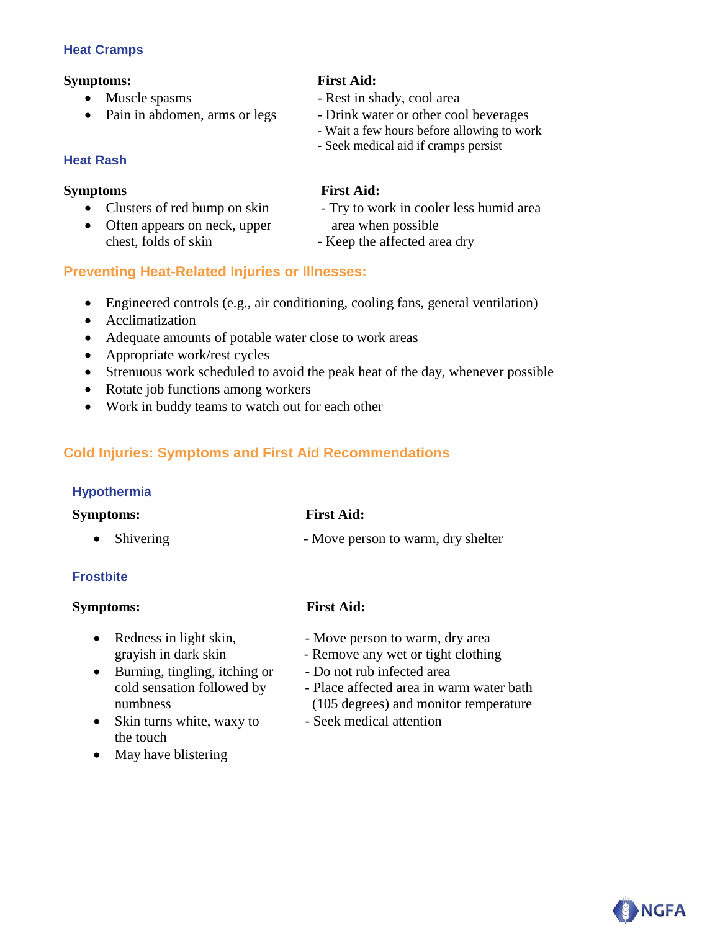### **Heat Cramps**

### **Symptoms: First Aid:**

- 
- 

## **Heat Rash**

- 
- Often appears on neck, upper area when possible chest, folds of skin - Keep the affected area dry

- Muscle spasms Rest in shady, cool area
- Pain in abdomen, arms or legs Drink water or other cool beverages
	- **-** Wait a few hours before allowing to work
	- **-** Seek medical aid if cramps persist

## **Symptoms First Aid:**

- Clusters of red bump on skin Try to work in cooler less humid area
	-

## **Preventing Heat-Related Injuries or Illnesses:**

- Engineered controls (e.g., air conditioning, cooling fans, general ventilation)
- Acclimatization
- Adequate amounts of potable water close to work areas
- Appropriate work/rest cycles
- Strenuous work scheduled to avoid the peak heat of the day, whenever possible
- Rotate job functions among workers
- Work in buddy teams to watch out for each other

## **Cold Injuries: Symptoms and First Aid Recommendations**

### **Hypothermia**

| <b>Symptoms:</b>    | <b>First Aid:</b>                  |
|---------------------|------------------------------------|
| $\bullet$ Shivering | - Move person to warm, dry shelter |

#### er stoff weak pulse - Protect against function  $\mathcal{L}$  and  $\mathcal{L}$  is a pulse - Protect against function  $\mathcal{L}$ **Frostbite**

## $Symptoms:$

- 
- grayish in dark skin<br>• Burning, tingling, itching or <br>• Do not rub infected area • Burning, tingling, itching or - Do not rub infected area cold sensation followed by<br>numbness
- Skin turns white, waxy to Seek medical attention the touch
- May have blistering

## **First Aid:**

- Redness in light skin, Move person to warm, dry area
	- Remove any wet or tight clothing
	-
	- Place affected area in warm water bath  $(105$  degrees) and monitor temperature
	-

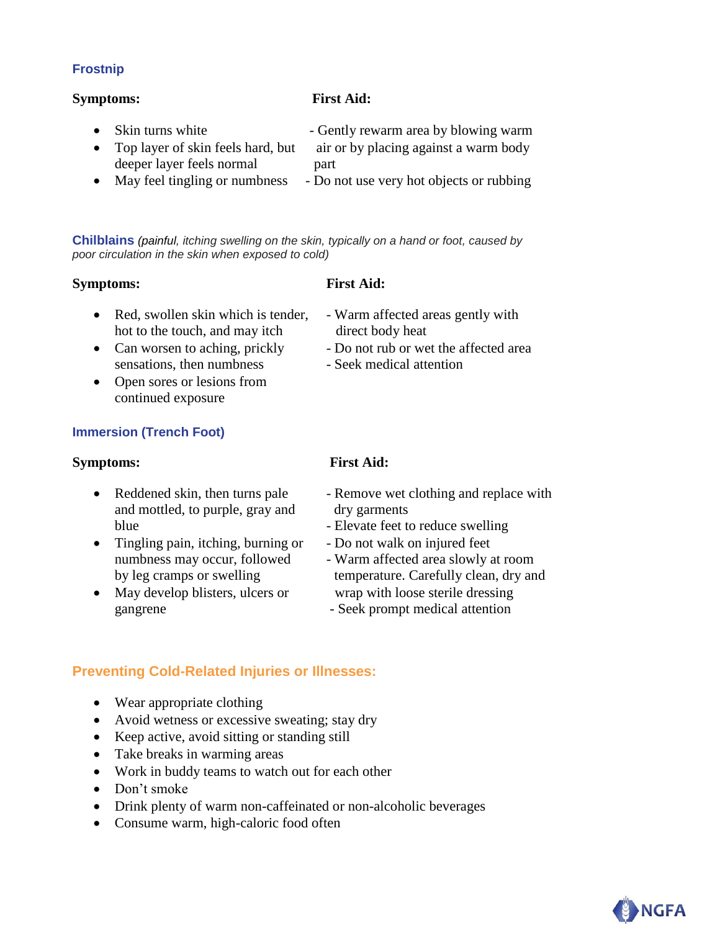### **Frostnip**

#### **Symptoms: First Aid:**

| • Skin turns white                  | - Gently rewarm area by blowing warm     |
|-------------------------------------|------------------------------------------|
| • Top layer of skin feels hard, but | air or by placing against a warm body    |
| deeper layer feels normal           | part                                     |
| May feel tingling or numbness       | - Do not use very hot objects or rubbing |

**Chilblains** *(painful, itching swelling on the skin, typically on a hand or foot, caused by poor circulation in the skin when exposed to cold)*

#### **Symptoms: First Aid:**

| • Red, swollen skin which is tender, | - Warm affected areas gently with     |
|--------------------------------------|---------------------------------------|
| hot to the touch, and may itch       | direct body heat                      |
| • Can worsen to aching, prickly      | - Do not rub or wet the affected area |
| sensations, then numbress            | - Seek medical attention              |
| • Open sores or lesions from         |                                       |

### **Immersion (Trench Foot)**

continued exposure

#### **Symptoms: First Aid:**

- and mottled, to purple, gray and dry garments blue - Elevate feet to reduce swelling
- Tingling pain, itching, burning or Do not walk on injured feet
- gangrene Seek prompt medical attention

- Reddened skin, then turns pale Remove wet clothing and replace with
	-
	-
- numbness may occur, followed Warm affected area slowly at room by leg cramps or swelling temperature. Carefully clean, dry and • May develop blisters, ulcers or wrap with loose sterile dressing
	-

## **Preventing Cold-Related Injuries or Illnesses:**

- Wear appropriate clothing
- Avoid wetness or excessive sweating; stay dry
- Keep active, avoid sitting or standing still
- Take breaks in warming areas
- Work in buddy teams to watch out for each other
- Don't smoke
- Drink plenty of warm non-caffeinated or non-alcoholic beverages
- Consume warm, high-caloric food often